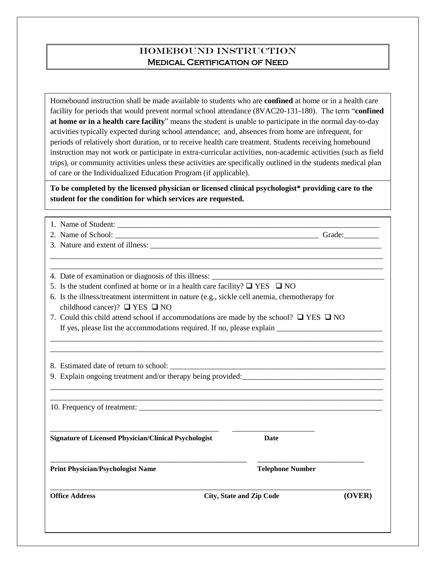## HOMEBOUND INSTRUCTION Medical Certification of Need

Homebound instruction shall be made available to students who are **confined** at home or in a health care facility for periods that would prevent normal school attendance (8VAC20-131-180). The term "**confined at home or in a health care facility**" means the student is unable to participate in the normal day-to-day activities typically expected during school attendance; and, absences from home are infrequent, for periods of relatively short duration, or to receive health care treatment. Students receiving homebound instruction may not work or participate in extra-curricular activities, non-academic activities (such as field trips), or community activities unless these activities are specifically outlined in the students medical plan of care or the Individualized Education Program (if applicable).

**To be completed by the licensed physician or licensed clinical psychologist\* providing care to the student for the condition for which services are requested.**

| <b>Office Address</b>                                                                                                                     | (OVER)<br><b>City, State and Zip Code</b>                                                                                                                                            |  |  |
|-------------------------------------------------------------------------------------------------------------------------------------------|--------------------------------------------------------------------------------------------------------------------------------------------------------------------------------------|--|--|
| <b>Print Physician/Psychologist Name</b>                                                                                                  | <b>Telephone Number</b>                                                                                                                                                              |  |  |
| <b>Signature of Licensed Physician/Clinical Psychologist</b>                                                                              | <b>Date</b>                                                                                                                                                                          |  |  |
|                                                                                                                                           |                                                                                                                                                                                      |  |  |
|                                                                                                                                           | 9. Explain ongoing treatment and/or therapy being provided:<br><u> 1989 - Johann Stoff, deutscher Stoff, der Stoff, der Stoff, der Stoff, der Stoff, der Stoff, der Stoff, der S</u> |  |  |
|                                                                                                                                           |                                                                                                                                                                                      |  |  |
|                                                                                                                                           |                                                                                                                                                                                      |  |  |
|                                                                                                                                           | 7. Could this child attend school if accommodations are made by the school? $\Box$ YES $\Box$ NO                                                                                     |  |  |
| 6. Is the illness/treatment intermittent in nature (e.g., sickle cell anemia, chemotherapy for<br>childhood cancer)? $\Box$ YES $\Box$ NO |                                                                                                                                                                                      |  |  |
| 5. Is the student confined at home or in a health care facility? $\Box$ YES $\Box$ NO                                                     |                                                                                                                                                                                      |  |  |
|                                                                                                                                           | 4. Date of examination or diagnosis of this illness:                                                                                                                                 |  |  |
|                                                                                                                                           |                                                                                                                                                                                      |  |  |
|                                                                                                                                           |                                                                                                                                                                                      |  |  |
|                                                                                                                                           |                                                                                                                                                                                      |  |  |